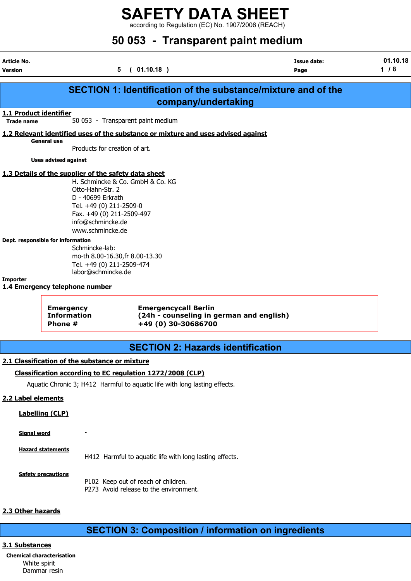according to Regulation (EC) No. 1907/2006 (REACH)

# 50 053 - Transparent paint medium

| Article No.<br><b>Version</b> |                                                                                                                                                                                                                                                                                                                                            | 5(01.10.18)                                                                       | <b>Issue date:</b><br>Page                                           | 01.10.18<br>$1/8$ |
|-------------------------------|--------------------------------------------------------------------------------------------------------------------------------------------------------------------------------------------------------------------------------------------------------------------------------------------------------------------------------------------|-----------------------------------------------------------------------------------|----------------------------------------------------------------------|-------------------|
|                               |                                                                                                                                                                                                                                                                                                                                            |                                                                                   | <b>SECTION 1: Identification of the substance/mixture and of the</b> |                   |
|                               |                                                                                                                                                                                                                                                                                                                                            |                                                                                   | company/undertaking                                                  |                   |
| 1.1 Product identifier        |                                                                                                                                                                                                                                                                                                                                            |                                                                                   |                                                                      |                   |
| <b>Trade name</b>             |                                                                                                                                                                                                                                                                                                                                            | 50 053 - Transparent paint medium                                                 |                                                                      |                   |
|                               | General use                                                                                                                                                                                                                                                                                                                                | 1.2 Relevant identified uses of the substance or mixture and uses advised against |                                                                      |                   |
|                               | Products for creation of art.                                                                                                                                                                                                                                                                                                              |                                                                                   |                                                                      |                   |
|                               | <b>Uses advised against</b>                                                                                                                                                                                                                                                                                                                |                                                                                   |                                                                      |                   |
| <b>Importer</b>               | 1.3 Details of the supplier of the safety data sheet<br>Otto-Hahn-Str. 2<br>D - 40699 Erkrath<br>Tel. +49 (0) 211-2509-0<br>Fax. +49 (0) 211-2509-497<br>info@schmincke.de<br>www.schmincke.de<br>Dept. responsible for information<br>Schmincke-lab:<br>Tel. +49 (0) 211-2509-474<br>labor@schmincke.de<br>1.4 Emergency telephone number | H. Schmincke & Co. GmbH & Co. KG<br>mo-th 8.00-16.30, fr 8.00-13.30               |                                                                      |                   |
|                               | <b>Emergency</b><br><b>Information</b><br>Phone #                                                                                                                                                                                                                                                                                          | <b>Emergencycall Berlin</b><br>+49 (0) 30-30686700                                | (24h - counseling in german and english)                             |                   |
|                               |                                                                                                                                                                                                                                                                                                                                            |                                                                                   | <b>SECTION 2: Hazards identification</b>                             |                   |
|                               | 2.1 Classification of the substance or mixture                                                                                                                                                                                                                                                                                             |                                                                                   |                                                                      |                   |
|                               |                                                                                                                                                                                                                                                                                                                                            | Classification according to EC regulation 1272/2008 (CLP)                         |                                                                      |                   |
|                               |                                                                                                                                                                                                                                                                                                                                            | Aquatic Chronic 3; H412 Harmful to aquatic life with long lasting effects.        |                                                                      |                   |
| 2.2 Label elements            |                                                                                                                                                                                                                                                                                                                                            |                                                                                   |                                                                      |                   |
| <b>Signal word</b>            | <b>Labelling (CLP)</b>                                                                                                                                                                                                                                                                                                                     |                                                                                   |                                                                      |                   |

| <b>Hazard statements</b>  | H412 Harmful to aguatic life with long lasting effects. |
|---------------------------|---------------------------------------------------------|
| <b>Safety precautions</b> |                                                         |
|                           | P102 Keep out of reach of children.                     |
|                           | P273 Avoid release to the environment.                  |

# 2.3 Other hazards

# SECTION 3: Composition / information on ingredients

# 3.1 Substances

Chemical characterisation White spirit Dammar resin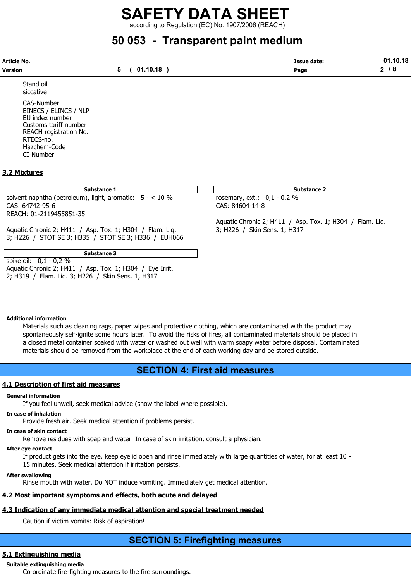rding to Regulation (EC) No. 1907/2006 (REACH)

# 50 053 - Transparent paint medium

| Article No.    |            | <b>Issue date:</b> | .10.18<br>01 |
|----------------|------------|--------------------|--------------|
| <b>Version</b> | (01.10.18) | Page               | 7 O          |

Stand oil siccative CAS-Number EINECS / ELINCS / NLP EU index number Customs tariff number REACH registration No. RTECS-no. Hazchem-Code CI-Number

# 3.2 Mixtures

#### Substance 1

solvent naphtha (petroleum), light, aromatic: 5 - < 10 % rosemary, ext.: 0,1 - 0,2 % CAS: 64742-95-6 CAS: 84604-14-8 REACH: 01-2119455851-35

Aquatic Chronic 2; H411 / Asp. Tox. 1; H304 / Flam. Liq. 3; H226 / Skin Sens. 1; H317 3; H226 / STOT SE 3; H335 / STOT SE 3; H336 / EUH066

Substance 3 spike oil: 0,1 - 0,2 %

Aquatic Chronic 2; H411 / Asp. Tox. 1; H304 / Eye Irrit. 2; H319 / Flam. Liq. 3; H226 / Skin Sens. 1; H317

| Substance 2 |  |
|-------------|--|
|-------------|--|

Aquatic Chronic 2; H411 / Asp. Tox. 1; H304 / Flam. Liq.

# Additional information

Materials such as cleaning rags, paper wipes and protective clothing, which are contaminated with the product may spontaneously self-ignite some hours later. To avoid the risks of fires, all contaminated materials should be placed in a closed metal container soaked with water or washed out well with warm soapy water before disposal. Contaminated materials should be removed from the workplace at the end of each working day and be stored outside.

# SECTION 4: First aid measures

## 4.1 Description of first aid measures

#### General information

If you feel unwell, seek medical advice (show the label where possible).

#### In case of inhalation

Provide fresh air. Seek medical attention if problems persist.

# In case of skin contact

Remove residues with soap and water. In case of skin irritation, consult a physician.

# After eye contact

If product gets into the eye, keep eyelid open and rinse immediately with large quantities of water, for at least 10 - 15 minutes. Seek medical attention if irritation persists.

# After swallowing

Rinse mouth with water. Do NOT induce vomiting. Immediately get medical attention.

# 4.2 Most important symptoms and effects, both acute and delayed

# 4.3 Indication of any immediate medical attention and special treatment needed

Caution if victim vomits: Risk of aspiration!

# SECTION 5: Firefighting measures

# 5.1 Extinguishing media

# Suitable extinguishing media

Co-ordinate fire-fighting measures to the fire surroundings.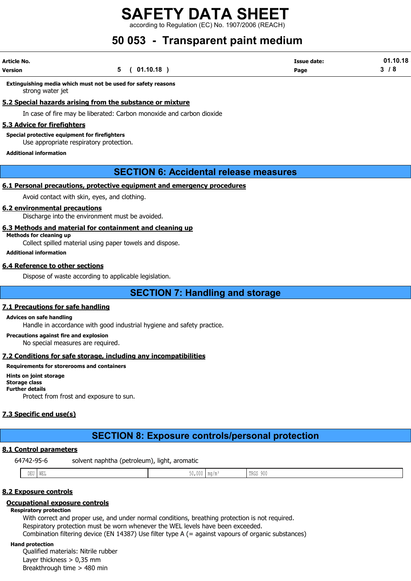according to Regulation (EC) No. 1907/2006 (REACH)

# 50 053 - Transparent paint medium

| <b>Article No.</b> |          | <b>Issue date:</b> | .10.18<br>01      |
|--------------------|----------|--------------------|-------------------|
| <b>Version</b>     | 01.10.18 | Page               | $\mathbf{\Omega}$ |

Extinguishing media which must not be used for safety reasons strong water jet

# 5.2 Special hazards arising from the substance or mixture

In case of fire may be liberated: Carbon monoxide and carbon dioxide

## 5.3 Advice for firefighters

Special protective equipment for firefighters

Use appropriate respiratory protection.

#### Additional information

# SECTION 6: Accidental release measures

# 6.1 Personal precautions, protective equipment and emergency procedures

Avoid contact with skin, eyes, and clothing.

## 6.2 environmental precautions

Discharge into the environment must be avoided.

#### 6.3 Methods and material for containment and cleaning up

Methods for cleaning up

Collect spilled material using paper towels and dispose.

Additional information

## 6.4 Reference to other sections

Dispose of waste according to applicable legislation.

# SECTION 7: Handling and storage

## 7.1 Precautions for safe handling

#### Advices on safe handling

Handle in accordance with good industrial hygiene and safety practice.

Precautions against fire and explosion

No special measures are required.

# 7.2 Conditions for safe storage, including any incompatibilities

## Requirements for storerooms and containers

Hints on joint storage Storage class Further details Protect from frost and exposure to sun.

# 7.3 Specific end use(s)

# SECTION 8: Exposure controls/personal protection

# 8.1 Control parameters

64742-95-6 solvent naphtha (petroleum), light, aromatic

| $- - - -$<br>- VV E2 L<br>י טעע |  | sarar:<br>-----<br>$\sim$ $\sim$ $\sim$ |
|---------------------------------|--|-----------------------------------------|
|---------------------------------|--|-----------------------------------------|

# 8.2 Exposure controls

# Occupational exposure controls

# Respiratory protection

With correct and proper use, and under normal conditions, breathing protection is not required. Respiratory protection must be worn whenever the WEL levels have been exceeded. Combination filtering device (EN 14387) Use filter type A (= against vapours of organic substances)

# Hand protection

Qualified materials: Nitrile rubber Layer thickness > 0,35 mm Breakthrough time > 480 min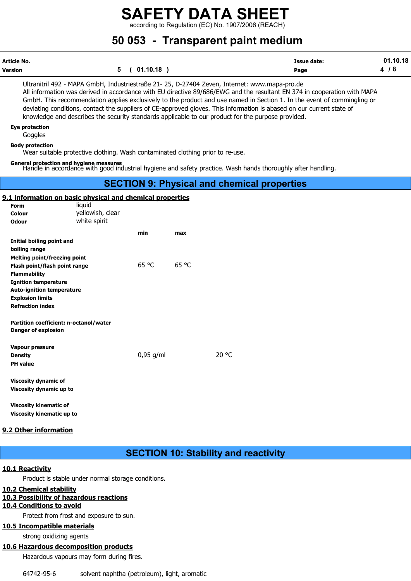according to Regulation (EC) No. 1907/2006 (REACH)

# 50 053 - Transparent paint medium

| Article No. |            | <b>Issue date:</b> | 01.10.18 |
|-------------|------------|--------------------|----------|
| Version     | (01.10.18) | Page               | д<br>o   |

Ultranitril 492 - MAPA GmbH, Industriestraße 21- 25, D-27404 Zeven, Internet: www.mapa-pro.de All information was derived in accordance with EU directive 89/686/EWG and the resultant EN 374 in cooperation with MAPA GmbH. This recommendation applies exclusively to the product and use named in Section 1. In the event of commingling or deviating conditions, contact the suppliers of CE-approved gloves. This information is abased on our current state of knowledge and describes the security standards applicable to our product for the purpose provided.

#### Eye protection

Goggles

#### Body protection

Wear suitable protective clothing. Wash contaminated clothing prior to re-use.

#### General protection and hygiene measures

Handle in accordance with good industrial hygiene and safety practice. Wash hands thoroughly after handling.

# SECTION 9: Physical and chemical properties

#### 9.1 information on basic physical and chemical properties

| <b>Form</b>                            | liquid           |             |       |       |
|----------------------------------------|------------------|-------------|-------|-------|
| Colour                                 | yellowish, clear |             |       |       |
| <b>Odour</b>                           | white spirit     |             |       |       |
|                                        |                  | min         | max   |       |
| Initial boiling point and              |                  |             |       |       |
| boiling range                          |                  |             |       |       |
| <b>Melting point/freezing point</b>    |                  |             |       |       |
| Flash point/flash point range          |                  | 65 °C       | 65 °C |       |
| <b>Flammability</b>                    |                  |             |       |       |
| <b>Ignition temperature</b>            |                  |             |       |       |
| <b>Auto-ignition temperature</b>       |                  |             |       |       |
| <b>Explosion limits</b>                |                  |             |       |       |
| <b>Refraction index</b>                |                  |             |       |       |
|                                        |                  |             |       |       |
| Partition coefficient: n-octanol/water |                  |             |       |       |
| <b>Danger of explosion</b>             |                  |             |       |       |
| <b>Vapour pressure</b>                 |                  |             |       |       |
| <b>Density</b>                         |                  | $0,95$ g/ml |       | 20 °C |
| <b>PH</b> value                        |                  |             |       |       |
|                                        |                  |             |       |       |
| <b>Viscosity dynamic of</b>            |                  |             |       |       |
| Viscosity dynamic up to                |                  |             |       |       |
|                                        |                  |             |       |       |
| <b>Viscosity kinematic of</b>          |                  |             |       |       |
| <b>Viscosity kinematic up to</b>       |                  |             |       |       |

## 9.2 Other information

# SECTION 10: Stability and reactivity

#### 10.1 Reactivity

Product is stable under normal storage conditions.

# 10.2 Chemical stability

# 10.3 Possibility of hazardous reactions

# 10.4 Conditions to avoid

Protect from frost and exposure to sun.

# 10.5 Incompatible materials

strong oxidizing agents

# 10.6 Hazardous decomposition products

Hazardous vapours may form during fires.

64742-95-6 solvent naphtha (petroleum), light, aromatic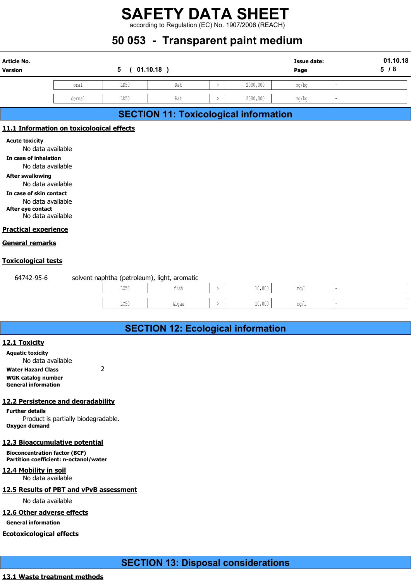# 50 053 - Transparent paint medium

|                                            |        |                              |     |               | <b>SAFETY DATA SHEET</b>                           |                    |          |
|--------------------------------------------|--------|------------------------------|-----|---------------|----------------------------------------------------|--------------------|----------|
|                                            |        |                              |     |               | according to Regulation (EC) No. 1907/2006 (REACH) |                    |          |
|                                            |        |                              |     |               | 50 053 - Transparent paint medium                  |                    |          |
|                                            |        |                              |     |               |                                                    |                    | 01.10.18 |
| <b>Article No.</b>                         |        |                              |     |               |                                                    | <b>Issue date:</b> |          |
| <b>Version</b>                             |        | $5\overline{)}$<br>01.10.18) |     |               |                                                    | Page               | 5/8      |
|                                            | oral   | LD50                         | Rat | $\rightarrow$ | 2000,000                                           | mg/kg              |          |
|                                            | dermal | LD50                         | Rat | $\rightarrow$ | 2000,000                                           | mg/kg              |          |
|                                            |        |                              |     |               | <b>SECTION 11: Toxicological information</b>       |                    |          |
| 11.1 Information on toxicological effects  |        |                              |     |               |                                                    |                    |          |
| <b>Acute toxicity</b><br>No data available |        |                              |     |               |                                                    |                    |          |

# SECTION 11: Toxicological information

# 11.1 Information on toxicological effects

In case of inhalation

No data available

After swallowing No data available

In case of skin contact No data available

After eye contact

No data available

# Practical experience

## General remarks

# Toxicological tests

| <b>Information on toxicological effects</b>                                     |      |                                              |               |        |      |                          |  |
|---------------------------------------------------------------------------------|------|----------------------------------------------|---------------|--------|------|--------------------------|--|
| ite toxicity<br>No data available                                               |      |                                              |               |        |      |                          |  |
| case of inhalation<br>No data available                                         |      |                                              |               |        |      |                          |  |
| er swallowing<br>No data available<br>case of skin contact<br>No data available |      |                                              |               |        |      |                          |  |
| er eye contact<br>No data available                                             |      |                                              |               |        |      |                          |  |
| <u>ctical experience</u>                                                        |      |                                              |               |        |      |                          |  |
| <u>eral remarks</u>                                                             |      |                                              |               |        |      |                          |  |
| <u>icological tests</u>                                                         |      |                                              |               |        |      |                          |  |
| 64742-95-6                                                                      |      | solvent naphtha (petroleum), light, aromatic |               |        |      |                          |  |
|                                                                                 | LC50 | fish                                         | ↘             | 10,000 | mg/1 |                          |  |
|                                                                                 | LC50 | Algae                                        | $\rightarrow$ | 10,000 | mg/1 | $\overline{\phantom{a}}$ |  |
|                                                                                 |      |                                              |               |        |      |                          |  |
|                                                                                 |      | <b>SECTION 12: Ecological information</b>    |               |        |      |                          |  |
| <u>l Toxicity</u>                                                               |      |                                              |               |        |      |                          |  |
| uatic toxicity<br>No data available                                             |      |                                              |               |        |      |                          |  |

# SECTION 12: Ecological information

## 12.1 Toxicity

Aquatic toxicity No data available Water Hazard Class 2 WGK catalog number General information

# 12.2 Persistence and degradability

Further details Product is partially biodegradable. Oxygen demand

# 12.3 Bioaccumulative potential

Bioconcentration factor (BCF) Partition coefficient: n-octanol/water

# 12.4 Mobility in soil

No data available

## 12.5 Results of PBT and vPvB assessment

No data available

## 12.6 Other adverse effects

General information

## Ecotoxicological effects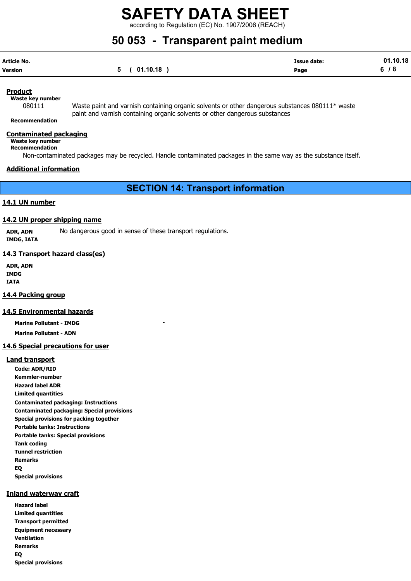according to Regulation (EC) No. 1907/2006 (REACH)

# 50 053 - Transparent paint medium

| Article No. |              | <b>Issue date:</b> | 01.10.18 |
|-------------|--------------|--------------------|----------|
| Version     | 5 ( 01.10.18 | Page               | 6/8      |

# Product

Waste key number

080111 Waste paint and varnish containing organic solvents or other dangerous substances 080111\* waste paint and varnish containing organic solvents or other dangerous substances

Recommendation

#### Contaminated packaging

Waste key number Recommendation

Non-contaminated packages may be recycled. Handle contaminated packages in the same way as the substance itself.

# Additional information

SECTION 14: Transport information

# 14.1 UN number

## 14.2 UN proper shipping name

ADR, ADN No dangerous good in sense of these transport regulations. IMDG, IATA

## 14.3 Transport hazard class(es)

ADR, ADN IMDG IATA

## 14.4 Packing group

## 14.5 Environmental hazards

**Marine Pollutant - IMDG** Marine Pollutant - ADN

## 14.6 Special precautions for user

#### Land transport

Code: ADR/RID Kemmler-number Hazard label ADR Limited quantities Contaminated packaging: Instructions Contaminated packaging: Special provisions Special provisions for packing together Portable tanks: Instructions Portable tanks: Special provisions Tank coding Tunnel restriction Remarks EQ Special provisions

## Inland waterway craft

Hazard label Limited quantities Transport permitted Equipment necessary Ventilation Remarks EQ Special provisions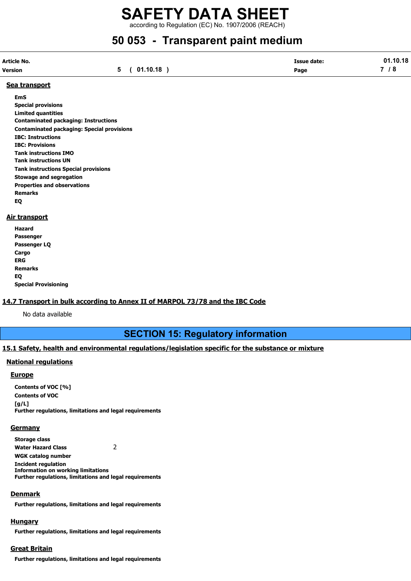according to Regulation (EC) No. 1907/2006 (REACH)

# 50 053 - Transparent paint medium

| Article No. |              | <b>Issue date:</b> | 01.10.18 |
|-------------|--------------|--------------------|----------|
| Version     | 5 ( 01.10.18 | Page               | 7/8      |

#### Sea transport

EmS Special provisions Limited quantities Contaminated packaging: Instructions Contaminated packaging: Special provisions IBC: Instructions IBC: Provisions Tank instructions IMO Tank instructions UN Tank instructions Special provisions Stowage and segregation Properties and observations Remarks EQ

## Air transport

| Hazard                      |
|-----------------------------|
| Passenger                   |
| Passenger LQ                |
| Cargo                       |
| ERG                         |
| <b>Remarks</b>              |
| EQ                          |
| <b>Special Provisioning</b> |

## 14.7 Transport in bulk according to Annex II of MARPOL 73/78 and the IBC Code

No data available

# SECTION 15: Regulatory information

## 15.1 Safety, health and environmental regulations/legislation specific for the substance or mixture

#### National regulations

#### **Europe**

Contents of VOC [%] Contents of VOC [g/L] Further regulations, limitations and legal requirements

#### Germany

Storage class

Water Hazard Class 2

WGK catalog number Incident regulation Information on working limitations Further regulations, limitations and legal requirements

#### **Denmark**

Further regulations, limitations and legal requirements

#### **Hungary**

Further regulations, limitations and legal requirements

#### Great Britain

Further regulations, limitations and legal requirements